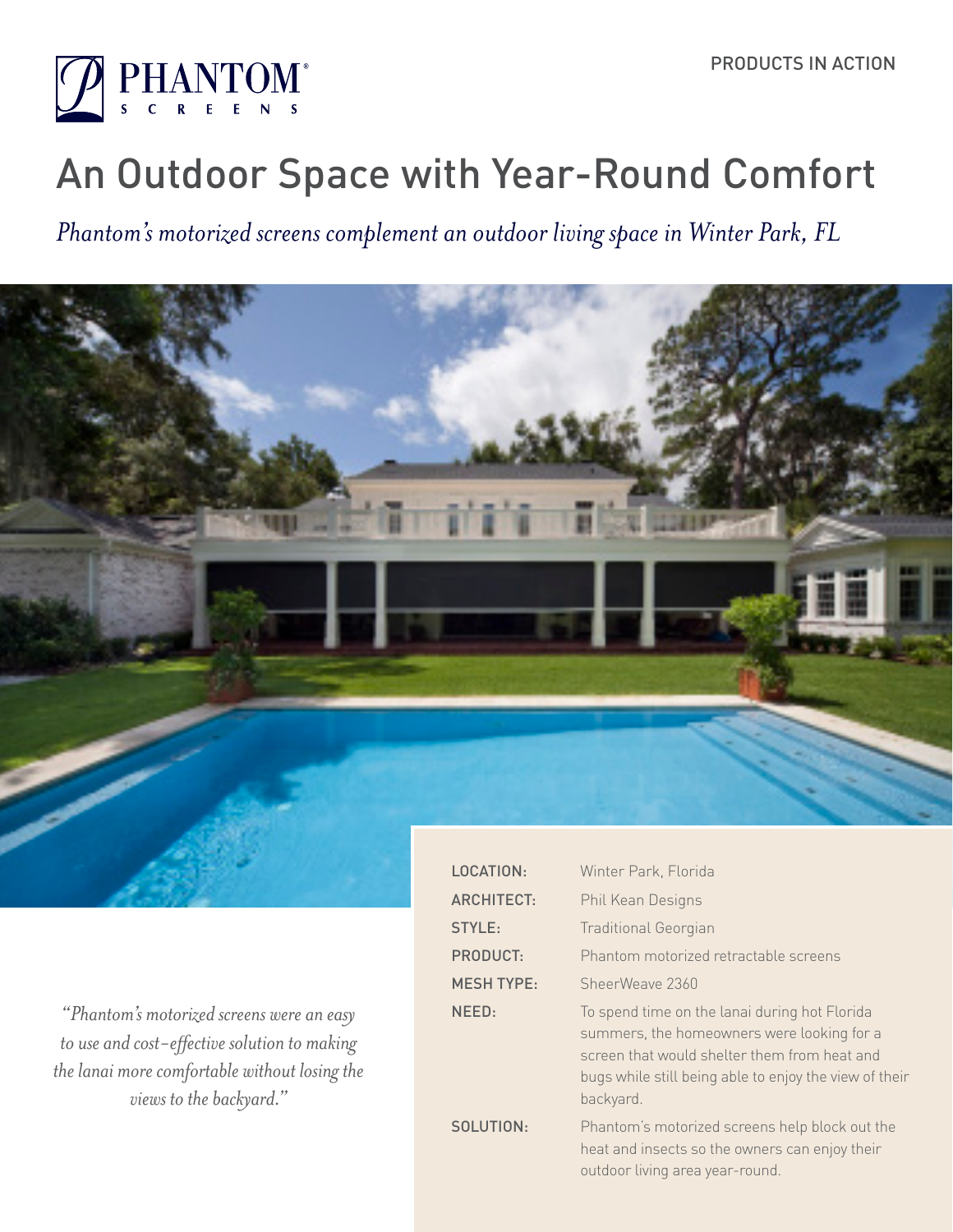

# An Outdoor Space with Year-Round Comfort

*Phantom's motorized screens complement an outdoor living space in Winter Park, FL*



*"Phantom's motorized screens were an easy to use and cost-effective solution to making the lanai more comfortable without losing the views to the backyard."*

| <b>LOCATION:</b>  | Winter Park, Florida                                                                                                                                                                                               |
|-------------------|--------------------------------------------------------------------------------------------------------------------------------------------------------------------------------------------------------------------|
| <b>ARCHITECT:</b> | Phil Kean Designs                                                                                                                                                                                                  |
| STYLE:            | <b>Traditional Georgian</b>                                                                                                                                                                                        |
| <b>PRODUCT:</b>   | Phantom motorized retractable screens                                                                                                                                                                              |
| <b>MESH TYPE:</b> | SheerWeave 2360                                                                                                                                                                                                    |
| NEED:             | To spend time on the lanai during hot Florida<br>summers, the homeowners were looking for a<br>screen that would shelter them from heat and<br>bugs while still being able to enjoy the view of their<br>backyard. |
| SOLUTION:         | Phantom's motorized screens help block out the<br>heat and insects so the owners can enjoy their<br>outdoor living area year-round.                                                                                |
|                   |                                                                                                                                                                                                                    |